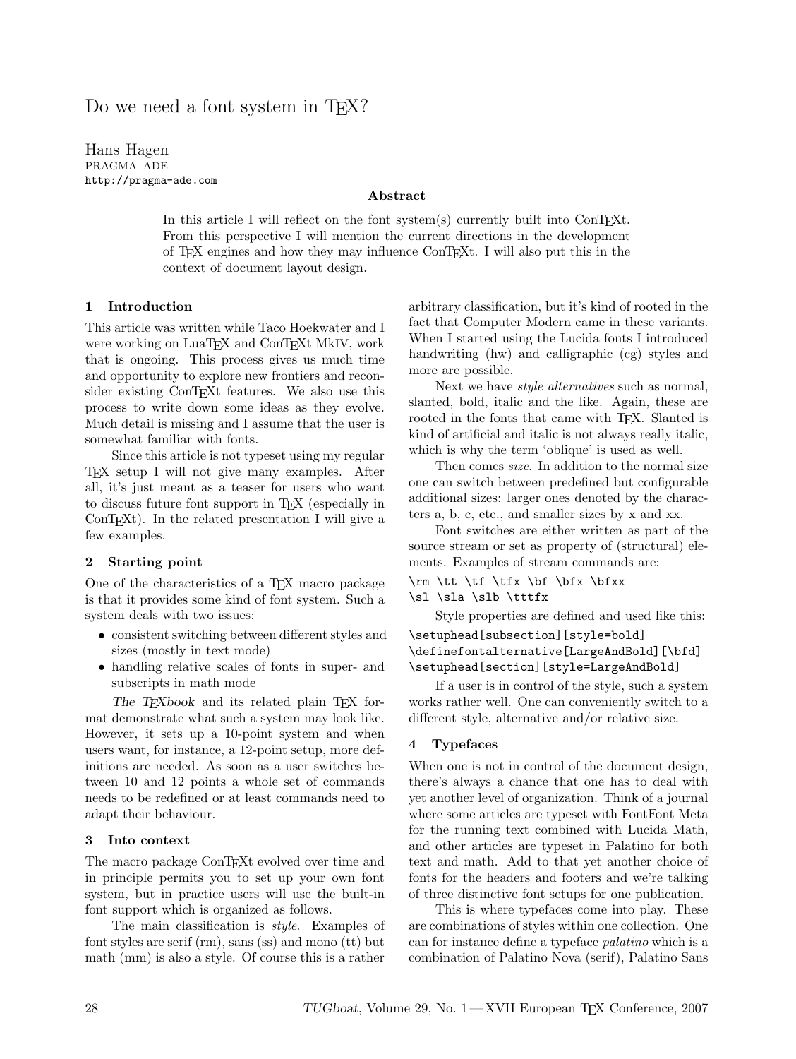# Do we need a font system in T<sub>EX</sub>?

Hans Hagen PRAGMA ADE http://pragma-ade.com

# Abstract

In this article I will reflect on the font system(s) currently built into ConTEXt. From this perspective I will mention the current directions in the development of TEX engines and how they may influence ConTEXt. I will also put this in the context of document layout design.

# 1 Introduction

This article was written while Taco Hoekwater and I were working on LuaTEX and ConTEXt MkIV, work that is ongoing. This process gives us much time and opportunity to explore new frontiers and reconsider existing ConTFXt features. We also use this process to write down some ideas as they evolve. Much detail is missing and I assume that the user is somewhat familiar with fonts.

Since this article is not typeset using my regular TEX setup I will not give many examples. After all, it's just meant as a teaser for users who want to discuss future font support in TEX (especially in ConT<sub>E</sub>X<sup>t</sup>). In the related presentation I will give a few examples.

### 2 Starting point

One of the characteristics of a T<sub>E</sub>X macro package is that it provides some kind of font system. Such a system deals with two issues:

- consistent switching between different styles and sizes (mostly in text mode)
- handling relative scales of fonts in super- and subscripts in math mode

The T<sub>E</sub>Xbook and its related plain T<sub>E</sub>X format demonstrate what such a system may look like. However, it sets up a 10-point system and when users want, for instance, a 12-point setup, more definitions are needed. As soon as a user switches between 10 and 12 points a whole set of commands needs to be redefined or at least commands need to adapt their behaviour.

## 3 Into context

The macro package ConTEXt evolved over time and in principle permits you to set up your own font system, but in practice users will use the built-in font support which is organized as follows.

The main classification is style. Examples of font styles are serif (rm), sans (ss) and mono (tt) but math (mm) is also a style. Of course this is a rather

arbitrary classification, but it's kind of rooted in the fact that Computer Modern came in these variants. When I started using the Lucida fonts I introduced handwriting (hw) and calligraphic (cg) styles and more are possible.

Next we have style alternatives such as normal, slanted, bold, italic and the like. Again, these are rooted in the fonts that came with TFX. Slanted is kind of artificial and italic is not always really italic, which is why the term 'oblique' is used as well.

Then comes size. In addition to the normal size one can switch between predefined but configurable additional sizes: larger ones denoted by the characters a, b, c, etc., and smaller sizes by x and xx.

Font switches are either written as part of the source stream or set as property of (structural) elements. Examples of stream commands are:

```
\rm \tt \tf \tfx \bf \bfx \bfxx
```

```
\sl \sla \slb \tttfx
```
Style properties are defined and used like this: \setuphead[subsection][style=bold] \definefontalternative[LargeAndBold][\bfd]

\setuphead[section][style=LargeAndBold] If a user is in control of the style, such a system works rather well. One can conveniently switch to a

different style, alternative and/or relative size.

### 4 Typefaces

When one is not in control of the document design, there's always a chance that one has to deal with yet another level of organization. Think of a journal where some articles are typeset with FontFont Meta for the running text combined with Lucida Math, and other articles are typeset in Palatino for both text and math. Add to that yet another choice of fonts for the headers and footers and we're talking of three distinctive font setups for one publication.

This is where typefaces come into play. These are combinations of styles within one collection. One can for instance define a typeface palatino which is a combination of Palatino Nova (serif), Palatino Sans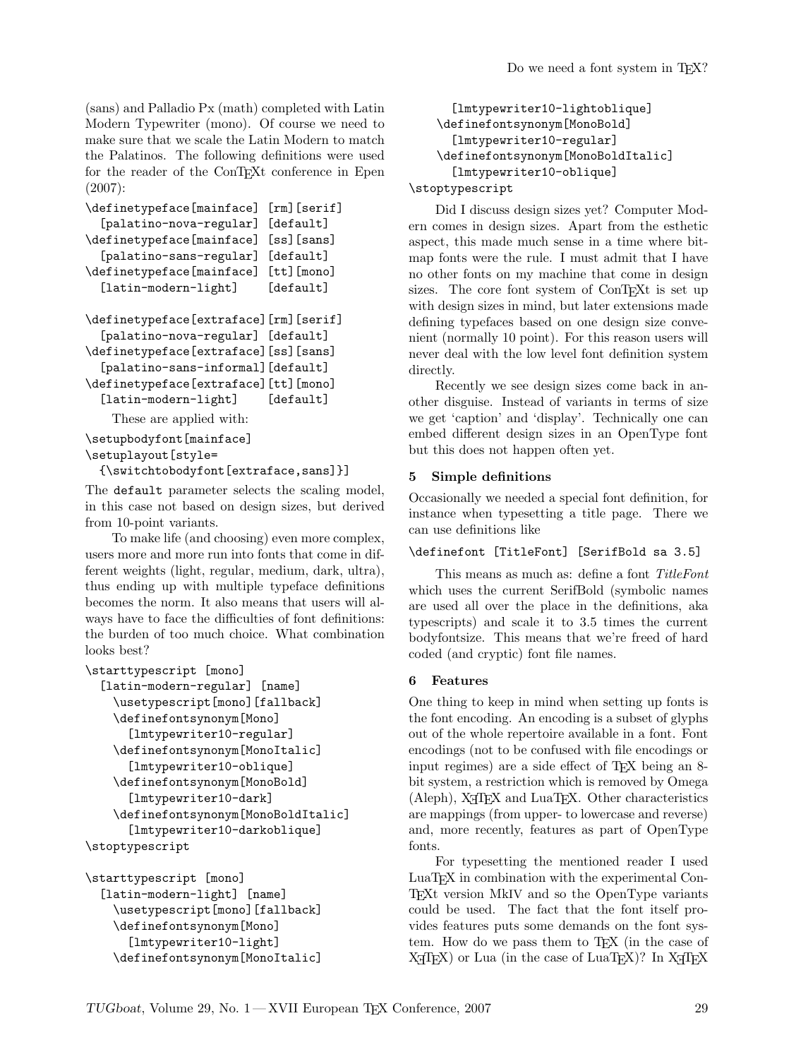(sans) and Palladio Px (math) completed with Latin Modern Typewriter (mono). Of course we need to make sure that we scale the Latin Modern to match the Palatinos. The following definitions were used for the reader of the ConTEXt conference in Epen (2007):

```
\definetypeface[mainface] [rm][serif]
  [palatino-nova-regular] [default]
\definetypeface[mainface] [ss][sans]
  [palatino-sans-regular] [default]
\definetypeface[mainface] [tt][mono]
  [latin-modern-light] [default]
\definetypeface[extraface][rm][serif]
  [palatino-nova-regular] [default]
\definetypeface[extraface][ss][sans]
  [palatino-sans-informal][default]
\definetypeface[extraface][tt][mono]
  [latin-modern-light] [default]
   These are applied with:
\setupbodyfont[mainface]
```

```
\setuplayout[style=
```
{\switchtobodyfont[extraface,sans]}]

The default parameter selects the scaling model, in this case not based on design sizes, but derived from 10-point variants.

To make life (and choosing) even more complex, users more and more run into fonts that come in different weights (light, regular, medium, dark, ultra), thus ending up with multiple typeface definitions becomes the norm. It also means that users will always have to face the difficulties of font definitions: the burden of too much choice. What combination looks best?

```
\starttypescript [mono]
  [latin-modern-regular] [name]
    \usetypescript[mono][fallback]
    \definefontsynonym[Mono]
      [lmtypewriter10-regular]
    \definefontsynonym[MonoItalic]
      [lmtypewriter10-oblique]
    \definefontsynonym[MonoBold]
      [lmtypewriter10-dark]
    \definefontsynonym[MonoBoldItalic]
      [lmtypewriter10-darkoblique]
\stoptypescript
```

```
\starttypescript [mono]
  [latin-modern-light] [name]
    \usetypescript[mono][fallback]
    \definefontsynonym[Mono]
      [lmtypewriter10-light]
    \definefontsynonym[MonoItalic]
```

```
[lmtypewriter10-lightoblique]
    \definefontsynonym[MonoBold]
      [lmtypewriter10-regular]
    \definefontsynonym[MonoBoldItalic]
      [lmtypewriter10-oblique]
\stoptypescript
```
Did I discuss design sizes yet? Computer Modern comes in design sizes. Apart from the esthetic aspect, this made much sense in a time where bitmap fonts were the rule. I must admit that I have no other fonts on my machine that come in design sizes. The core font system of ConTEXt is set up with design sizes in mind, but later extensions made defining typefaces based on one design size convenient (normally 10 point). For this reason users will never deal with the low level font definition system directly.

Recently we see design sizes come back in another disguise. Instead of variants in terms of size we get 'caption' and 'display'. Technically one can embed different design sizes in an OpenType font but this does not happen often yet.

# 5 Simple definitions

Occasionally we needed a special font definition, for instance when typesetting a title page. There we can use definitions like

# \definefont [TitleFont] [SerifBold sa 3.5]

This means as much as: define a font TitleFont which uses the current SerifBold (symbolic names are used all over the place in the definitions, aka typescripts) and scale it to 3.5 times the current bodyfontsize. This means that we're freed of hard coded (and cryptic) font file names.

# 6 Features

One thing to keep in mind when setting up fonts is the font encoding. An encoding is a subset of glyphs out of the whole repertoire available in a font. Font encodings (not to be confused with file encodings or input regimes) are a side effect of T<sub>E</sub>X being an 8bit system, a restriction which is removed by Omega  $(Aleph)$ ,  $X\overline{A}T\overline{F}X$  and  $LuaT\overline{F}X$ . Other characteristics are mappings (from upper- to lowercase and reverse) and, more recently, features as part of OpenType fonts.

For typesetting the mentioned reader I used LuaT<sub>EX</sub> in combination with the experimental Con-TEXt version MkIV and so the OpenType variants could be used. The fact that the font itself provides features puts some demands on the font system. How do we pass them to T<sub>F</sub>X (in the case of  $X \rightarrow T$  TeX) or Lua (in the case of LuaT<sub>EX</sub>)? In  $X \rightarrow T$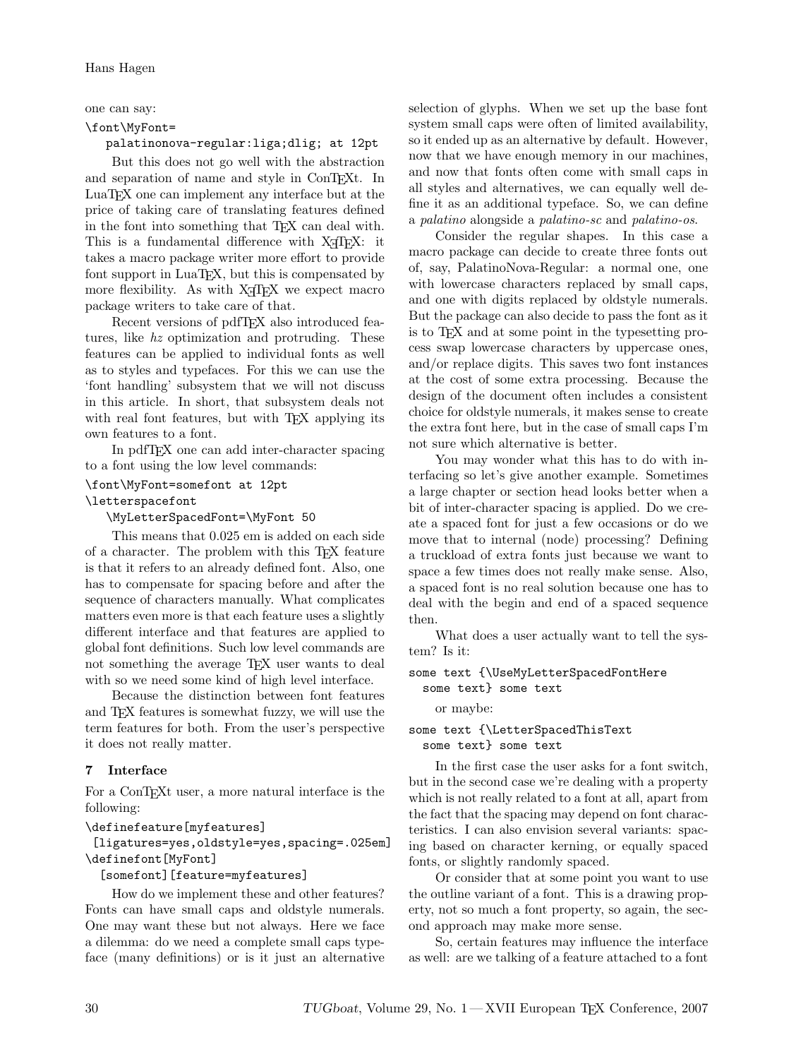one can say:

#### \font\MyFont=

# palatinonova-regular:liga;dlig; at 12pt

But this does not go well with the abstraction and separation of name and style in ConT<sub>EXt</sub>. In LuaTEX one can implement any interface but at the price of taking care of translating features defined in the font into something that T<sub>EX</sub> can deal with. This is a fundamental difference with X<sub>T</sub>T<sub>E</sub>X: it takes a macro package writer more effort to provide font support in LuaT<sub>EX</sub>, but this is compensated by more flexibility. As with X<sub>H</sub>T<sub>E</sub>X we expect macro package writers to take care of that.

Recent versions of pdfTEX also introduced features, like hz optimization and protruding. These features can be applied to individual fonts as well as to styles and typefaces. For this we can use the 'font handling' subsystem that we will not discuss in this article. In short, that subsystem deals not with real font features, but with T<sub>E</sub>X applying its own features to a font.

In pdfTEX one can add inter-character spacing to a font using the low level commands:

# \font\MyFont=somefont at 12pt

# \letterspacefont

\MyLetterSpacedFont=\MyFont 50

This means that 0.025 em is added on each side of a character. The problem with this TEX feature is that it refers to an already defined font. Also, one has to compensate for spacing before and after the sequence of characters manually. What complicates matters even more is that each feature uses a slightly different interface and that features are applied to global font definitions. Such low level commands are not something the average TEX user wants to deal with so we need some kind of high level interface.

Because the distinction between font features and TEX features is somewhat fuzzy, we will use the term features for both. From the user's perspective it does not really matter.

# 7 Interface

For a ConTEXt user, a more natural interface is the following:

# \definefeature[myfeatures]

# [ligatures=yes,oldstyle=yes,spacing=.025em] \definefont[MyFont]

#### [somefont][feature=myfeatures]

How do we implement these and other features? Fonts can have small caps and oldstyle numerals. One may want these but not always. Here we face a dilemma: do we need a complete small caps typeface (many definitions) or is it just an alternative selection of glyphs. When we set up the base font system small caps were often of limited availability, so it ended up as an alternative by default. However, now that we have enough memory in our machines, and now that fonts often come with small caps in all styles and alternatives, we can equally well define it as an additional typeface. So, we can define a palatino alongside a palatino-sc and palatino-os.

Consider the regular shapes. In this case a macro package can decide to create three fonts out of, say, PalatinoNova-Regular: a normal one, one with lowercase characters replaced by small caps, and one with digits replaced by oldstyle numerals. But the package can also decide to pass the font as it is to TEX and at some point in the typesetting process swap lowercase characters by uppercase ones, and/or replace digits. This saves two font instances at the cost of some extra processing. Because the design of the document often includes a consistent choice for oldstyle numerals, it makes sense to create the extra font here, but in the case of small caps I'm not sure which alternative is better.

You may wonder what this has to do with interfacing so let's give another example. Sometimes a large chapter or section head looks better when a bit of inter-character spacing is applied. Do we create a spaced font for just a few occasions or do we move that to internal (node) processing? Defining a truckload of extra fonts just because we want to space a few times does not really make sense. Also, a spaced font is no real solution because one has to deal with the begin and end of a spaced sequence then.

What does a user actually want to tell the system? Is it:

### some text {\UseMyLetterSpacedFontHere some text} some text

or maybe:

### some text {\LetterSpacedThisText some text} some text

In the first case the user asks for a font switch, but in the second case we're dealing with a property which is not really related to a font at all, apart from the fact that the spacing may depend on font characteristics. I can also envision several variants: spacing based on character kerning, or equally spaced fonts, or slightly randomly spaced.

Or consider that at some point you want to use the outline variant of a font. This is a drawing property, not so much a font property, so again, the second approach may make more sense.

So, certain features may influence the interface as well: are we talking of a feature attached to a font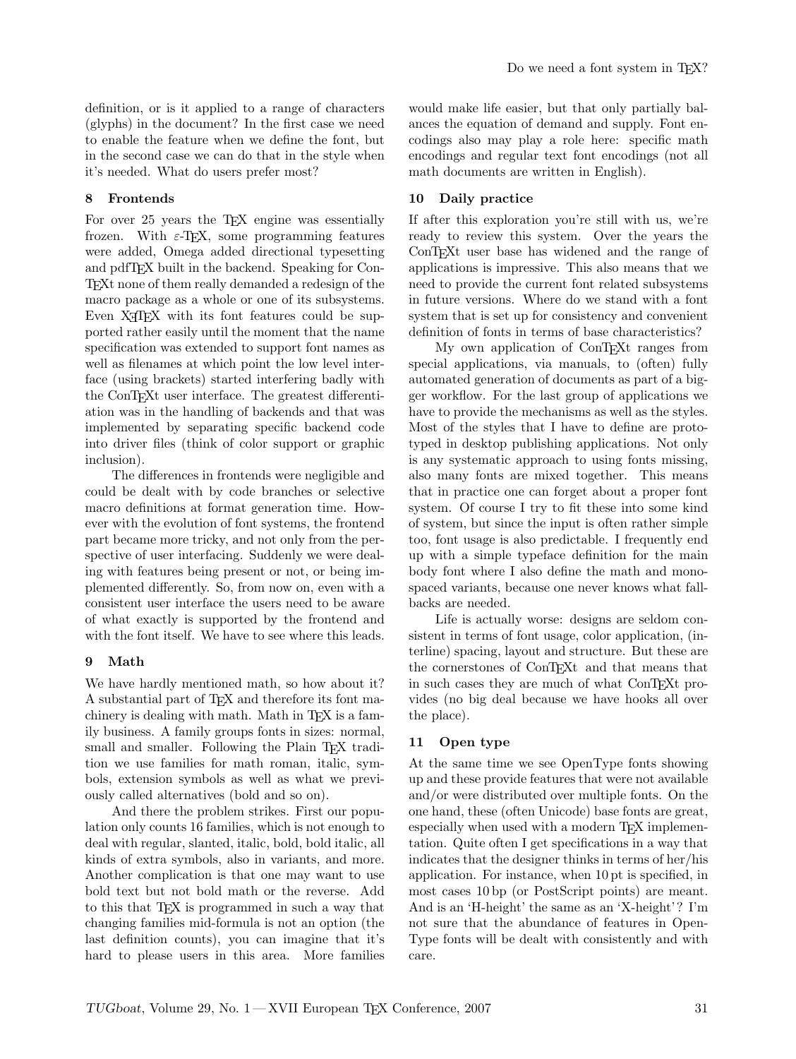definition, or is it applied to a range of characters (glyphs) in the document? In the first case we need to enable the feature when we define the font, but in the second case we can do that in the style when it's needed. What do users prefer most?

# 8 Frontends

For over 25 years the T<sub>E</sub>X engine was essentially frozen. With  $\varepsilon$ -T<sub>F</sub>X, some programming features were added, Omega added directional typesetting and pdfTEX built in the backend. Speaking for Con-TEXt none of them really demanded a redesign of the macro package as a whole or one of its subsystems. Even X<sub>T</sub>T<sub>E</sub>X with its font features could be supported rather easily until the moment that the name specification was extended to support font names as well as filenames at which point the low level interface (using brackets) started interfering badly with the ConTEXt user interface. The greatest differentiation was in the handling of backends and that was implemented by separating specific backend code into driver files (think of color support or graphic inclusion).

The differences in frontends were negligible and could be dealt with by code branches or selective macro definitions at format generation time. However with the evolution of font systems, the frontend part became more tricky, and not only from the perspective of user interfacing. Suddenly we were dealing with features being present or not, or being implemented differently. So, from now on, even with a consistent user interface the users need to be aware of what exactly is supported by the frontend and with the font itself. We have to see where this leads.

# 9 Math

We have hardly mentioned math, so how about it? A substantial part of TEX and therefore its font machinery is dealing with math. Math in T<sub>F</sub>X is a family business. A family groups fonts in sizes: normal, small and smaller. Following the Plain T<sub>F</sub>X tradition we use families for math roman, italic, symbols, extension symbols as well as what we previously called alternatives (bold and so on).

And there the problem strikes. First our population only counts 16 families, which is not enough to deal with regular, slanted, italic, bold, bold italic, all kinds of extra symbols, also in variants, and more. Another complication is that one may want to use bold text but not bold math or the reverse. Add to this that TEX is programmed in such a way that changing families mid-formula is not an option (the last definition counts), you can imagine that it's hard to please users in this area. More families would make life easier, but that only partially balances the equation of demand and supply. Font encodings also may play a role here: specific math encodings and regular text font encodings (not all math documents are written in English).

# 10 Daily practice

If after this exploration you're still with us, we're ready to review this system. Over the years the ConT<sub>E</sub>X<sup>t</sup> user base has widened and the range of applications is impressive. This also means that we need to provide the current font related subsystems in future versions. Where do we stand with a font system that is set up for consistency and convenient definition of fonts in terms of base characteristics?

My own application of ConT<sub>EXt</sub> ranges from special applications, via manuals, to (often) fully automated generation of documents as part of a bigger workflow. For the last group of applications we have to provide the mechanisms as well as the styles. Most of the styles that I have to define are prototyped in desktop publishing applications. Not only is any systematic approach to using fonts missing, also many fonts are mixed together. This means that in practice one can forget about a proper font system. Of course I try to fit these into some kind of system, but since the input is often rather simple too, font usage is also predictable. I frequently end up with a simple typeface definition for the main body font where I also define the math and monospaced variants, because one never knows what fallbacks are needed.

Life is actually worse: designs are seldom consistent in terms of font usage, color application, (interline) spacing, layout and structure. But these are the cornerstones of ConTEXt and that means that in such cases they are much of what ConTEXt provides (no big deal because we have hooks all over the place).

## 11 Open type

At the same time we see OpenType fonts showing up and these provide features that were not available and/or were distributed over multiple fonts. On the one hand, these (often Unicode) base fonts are great, especially when used with a modern TFX implementation. Quite often I get specifications in a way that indicates that the designer thinks in terms of her/his application. For instance, when 10 pt is specified, in most cases 10 bp (or PostScript points) are meant. And is an 'H-height' the same as an 'X-height'? I'm not sure that the abundance of features in Open-Type fonts will be dealt with consistently and with care.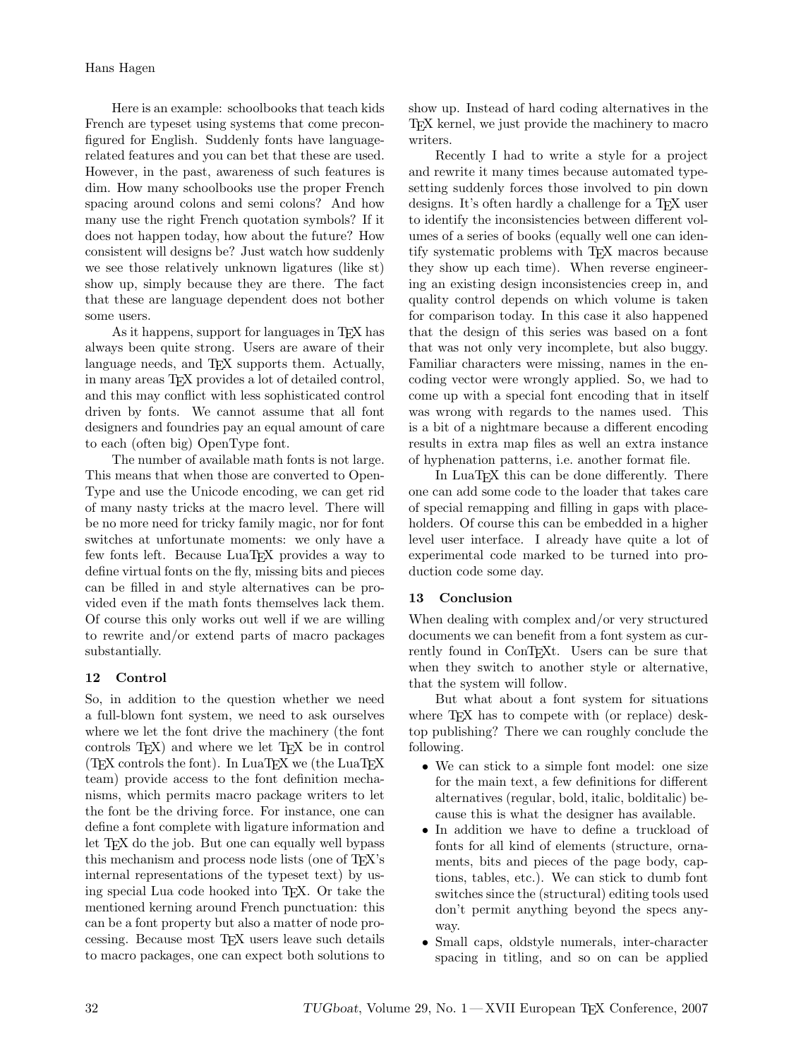Here is an example: schoolbooks that teach kids French are typeset using systems that come preconfigured for English. Suddenly fonts have languagerelated features and you can bet that these are used. However, in the past, awareness of such features is dim. How many schoolbooks use the proper French spacing around colons and semi colons? And how many use the right French quotation symbols? If it does not happen today, how about the future? How consistent will designs be? Just watch how suddenly we see those relatively unknown ligatures (like st) show up, simply because they are there. The fact that these are language dependent does not bother some users.

As it happens, support for languages in T<sub>E</sub>X has always been quite strong. Users are aware of their language needs, and T<sub>E</sub>X supports them. Actually, in many areas TEX provides a lot of detailed control, and this may conflict with less sophisticated control driven by fonts. We cannot assume that all font designers and foundries pay an equal amount of care to each (often big) OpenType font.

The number of available math fonts is not large. This means that when those are converted to Open-Type and use the Unicode encoding, we can get rid of many nasty tricks at the macro level. There will be no more need for tricky family magic, nor for font switches at unfortunate moments: we only have a few fonts left. Because LuaTEX provides a way to define virtual fonts on the fly, missing bits and pieces can be filled in and style alternatives can be provided even if the math fonts themselves lack them. Of course this only works out well if we are willing to rewrite and/or extend parts of macro packages substantially.

# 12 Control

So, in addition to the question whether we need a full-blown font system, we need to ask ourselves where we let the font drive the machinery (the font controls  $T_{F}X$  and where we let  $T_{F}X$  be in control (TEX controls the font). In LuaTEX we (the LuaTEX team) provide access to the font definition mechanisms, which permits macro package writers to let the font be the driving force. For instance, one can define a font complete with ligature information and let T<sub>EX</sub> do the job. But one can equally well bypass this mechanism and process node lists (one of TEX's internal representations of the typeset text) by using special Lua code hooked into TEX. Or take the mentioned kerning around French punctuation: this can be a font property but also a matter of node processing. Because most TEX users leave such details to macro packages, one can expect both solutions to

show up. Instead of hard coding alternatives in the TEX kernel, we just provide the machinery to macro writers.

Recently I had to write a style for a project and rewrite it many times because automated typesetting suddenly forces those involved to pin down designs. It's often hardly a challenge for a T<sub>EX</sub> user to identify the inconsistencies between different volumes of a series of books (equally well one can identify systematic problems with T<sub>E</sub>X macros because they show up each time). When reverse engineering an existing design inconsistencies creep in, and quality control depends on which volume is taken for comparison today. In this case it also happened that the design of this series was based on a font that was not only very incomplete, but also buggy. Familiar characters were missing, names in the encoding vector were wrongly applied. So, we had to come up with a special font encoding that in itself was wrong with regards to the names used. This is a bit of a nightmare because a different encoding results in extra map files as well an extra instance of hyphenation patterns, i.e. another format file.

In LuaT<sub>EX</sub> this can be done differently. There one can add some code to the loader that takes care of special remapping and filling in gaps with placeholders. Of course this can be embedded in a higher level user interface. I already have quite a lot of experimental code marked to be turned into production code some day.

# 13 Conclusion

When dealing with complex and/or very structured documents we can benefit from a font system as currently found in ConTEXt. Users can be sure that when they switch to another style or alternative, that the system will follow.

But what about a font system for situations where T<sub>F</sub>X has to compete with (or replace) desktop publishing? There we can roughly conclude the following.

- We can stick to a simple font model: one size for the main text, a few definitions for different alternatives (regular, bold, italic, bolditalic) because this is what the designer has available.
- In addition we have to define a truckload of fonts for all kind of elements (structure, ornaments, bits and pieces of the page body, captions, tables, etc.). We can stick to dumb font switches since the (structural) editing tools used don't permit anything beyond the specs anyway.
- Small caps, oldstyle numerals, inter-character spacing in titling, and so on can be applied